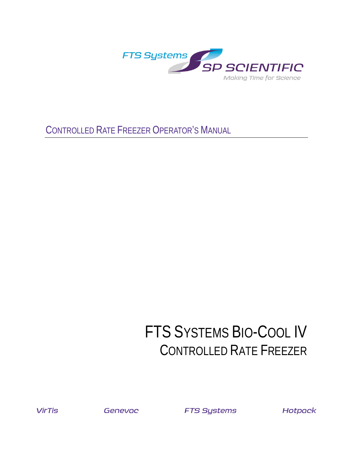

CONTROLLED RATE FREEZER OPERATOR'S MANUAL

### FTS SYSTEMS BIO-COOL IV CONTROLLED RATE FREEZER

**VirTis** 

Genevac

**FTS Systems** 

**Hotpack**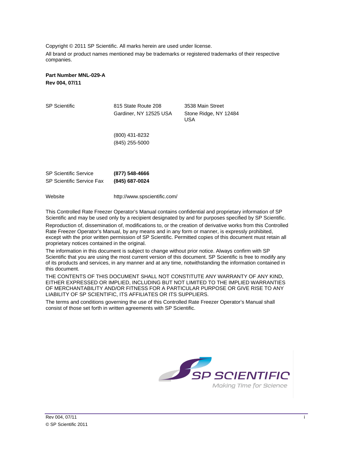Copyright © 2011 SP Scientific. All marks herein are used under license. All brand or product names mentioned may be trademarks or registered trademarks of their respective companies.

#### **Part Number MNL-029-A Rev 004, 07/11**

| <b>SP Scientific</b>                                             | 815 State Route 208<br>Gardiner, NY 12525 USA | 3538 Main Street<br>Stone Ridge, NY 12484<br><b>USA</b> |
|------------------------------------------------------------------|-----------------------------------------------|---------------------------------------------------------|
|                                                                  | (800) 431-8232<br>(845) 255-5000              |                                                         |
| <b>SP Scientific Service</b><br><b>SP Scientific Service Fax</b> | (877) 548-4666<br>(845) 687-0024              |                                                         |

Website http://www.spscientific.com/

This Controlled Rate Freezer Operator's Manual contains confidential and proprietary information of SP Scientific and may be used only by a recipient designated by and for purposes specified by SP Scientific.

Reproduction of, dissemination of, modifications to, or the creation of derivative works from this Controlled Rate Freezer Operator's Manual, by any means and in any form or manner, is expressly prohibited, except with the prior written permission of SP Scientific. Permitted copies of this document must retain all proprietary notices contained in the original.

The information in this document is subject to change without prior notice. Always confirm with SP Scientific that you are using the most current version of this document. SP Scientific is free to modify any of its products and services, in any manner and at any time, notwithstanding the information contained in this document.

THE CONTENTS OF THIS DOCUMENT SHALL NOT CONSTITUTE ANY WARRANTY OF ANY KIND, EITHER EXPRESSED OR IMPLIED, INCLUDING BUT NOT LIMITED TO THE IMPLIED WARRANTIES OF MERCHANTABILITY AND/OR FITNESS FOR A PARTICULAR PURPOSE OR GIVE RISE TO ANY LIABILITY OF SP SCIENTIFIC, ITS AFFILIATES OR ITS SUPPLIERS.

The terms and conditions governing the use of this Controlled Rate Freezer Operator's Manual shall consist of those set forth in written agreements with SP Scientific.

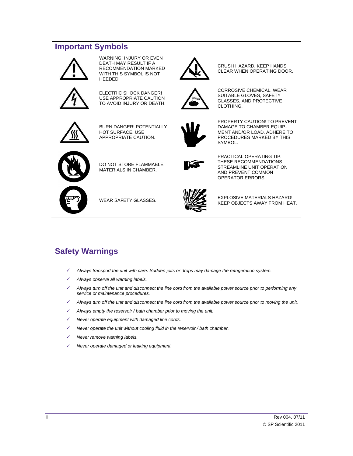#### <span id="page-3-0"></span>**Important Symbols**



WARNING! INJURY OR EVEN DEATH MAY RESULT IF A RECOMMENDATION MARKED WITH THIS SYMBOL IS NOT HEEDED.



ELECTRIC SHOCK DANGER! USE APPROPRIATE CAUTION TO AVOID INJURY OR DEATH.



BURN DANGER! POTENTIALLY HOT SURFACE. USE APPROPRIATE CAUTION.



 PROPERTY CAUTION! TO PREVENT DAMAGE TO CHAMBER EQUIP-MENT AND/OR LOAD, ADHERE TO PROCEDURES MARKED BY THIS SYMBOL.

CRUSH HAZARD. KEEP HANDS CLEAR WHEN OPERATING DOOR.

CORROSIVE CHEMICAL. WEAR SUITABLE GLOVES, SAFETY GLASSES, AND PROTECTIVE

CLOTHING.



DO NOT STORE FLAMMABLE MATERIALS IN CHAMBER.



PRACTICAL OPERATING TIP. THESE RECOMMENDATIONS STREAMLINE UNIT OPERATION AND PREVENT COMMON OPERATOR ERRORS.



WEAR SAFETY GLASSES. EXPLOSIVE MATERIALS HAZARD! KEEP OBJECTS AWAY FROM HEAT.

#### <span id="page-3-1"></span>**Safety Warnings**

- *Always transport the unit with care. Sudden jolts or drops may damage the refrigeration system.*
- *Always observe all warning labels.*
- *Always turn off the unit and disconnect the line cord from the available power source prior to performing any service or maintenance procedures.*
- *Always turn off the unit and disconnect the line cord from the available power source prior to moving the unit.*
- *Always empty the reservoir / bath chamber prior to moving the unit.*
- *Never operate equipment with damaged line cords.*
- *Never operate the unit without cooling fluid in the reservoir / bath chamber.*
- *Never remove warning labels.*
- *Never operate damaged or leaking equipment.*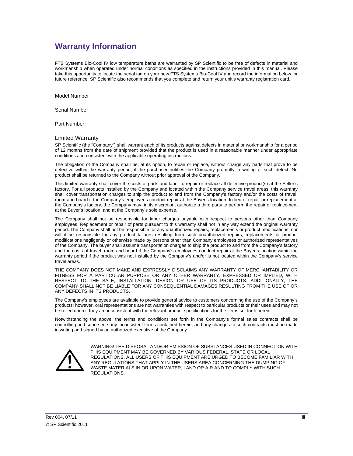#### <span id="page-4-0"></span>**Warranty Information**

FTS Systems Bio-Cool IV low temperature baths are warranted by SP Scientific to be free of defects in material and workmanship when operated under normal conditions as specified in the instructions provided in this manual. Please take this opportunity to locate the serial tag on your new FTS Systems Bio-Cool IV and record the information below for future reference. SP Scientific also recommends that you complete and return your unit's warranty registration card.

Model Number

Serial Number

Part Number

#### Limited Warranty

SP Scientific (the "Company") shall warrant each of its products against defects in material or workmanship for a period of 12 months from the date of shipment provided that the product is used in a reasonable manner under appropriate conditions and consistent with the applicable operating instructions.

The obligation of the Company shall be, at its option, to repair or replace, without charge any parts that prove to be defective within the warranty period, if the purchaser notifies the Company promptly in writing of such defect. No product shall be returned to the Company without prior approval of the Company.

This limited warranty shall cover the costs of parts and labor to repair or replace all defective product(s) at the Seller's factory. For all products installed by the Company and located within the Company service travel areas, this warranty shall cover transportation charges to ship the product to and from the Company's factory and/or the costs of travel, room and board if the Company's employees conduct repair at the Buyer's location. In lieu of repair or replacement at the Company's factory, the Company may, in its discretion, authorize a third party to perform the repair or replacement at the Buyer's location, and at the Company's sole expense.

The Company shall not be responsible for labor charges payable with respect to persons other than Company employees. Replacement or repair of parts pursuant to this warranty shall not in any way extend the original warranty period. The Company shall not be responsible for any unauthorized repairs, replacements or product modifications, nor will it be responsible for any product failures resulting from such unauthorized repairs, replacements or product modifications negligently or otherwise made by persons other than Company employees or authorized representatives of the Company. The buyer shall assume transportation charges to ship the product to and from the Company's factory and the costs of travel, room and board if the Company's employees conduct repair at the Buyer's location within the warranty period if the product was not installed by the Company's and/or is not located within the Company's service travel areas.

THE COMPANY DOES NOT MAKE AND EXPRESSLY DISCLAIMS ANY WARRANTY OF MERCHANTABILITY OR FITNESS FOR A PARTICULAR PURPOSE OR ANY OTHER WARRANTY, EXPRESSED OR IMPLIED, WITH RESPECT TO THE SALE, INSTALLATION, DESIGN OR USE OF ITS PRODUCTS. ADDITIONALLY, THE COMPANY SHALL NOT BE LIABLE FOR ANY CONSEQUENTIAL DAMAGES RESULTING FROM THE USE OF OR ANY DEFECTS IN ITS PRODUCTS.

The Company's employees are available to provide general advice to customers concerning the use of the Company's products; however, oral representations are not warranties with respect to particular products or their uses and may not be relied upon if they are inconsistent with the relevant product specifications for the items set forth herein.

Notwithstanding the above, the terms and conditions set forth in the Company's formal sales contracts shall be controlling and supersede any inconsistent terms contained herein, and any changes to such contracts must be made in writing and signed by an authorized executive of the Company.



WARNING! THE DISPOSAL AND/OR EMISSION OF SUBSTANCES USED IN CONNECTION WITH THIS EQUIPMENT MAY BE GOVERNED BY VARIOUS FEDERAL, STATE OR LOCAL REGULATIONS. ALL USERS OF THIS EQUIPMENT ARE URGED TO BECOME FAMILIAR WITH ANY REGULATIONS THAT APPLY IN THE USERS AREA CONCERNING THE DUMPING OF WASTE MATERIALS IN OR UPON WATER, LAND OR AIR AND TO COMPLY WITH SUCH REGULATIONS.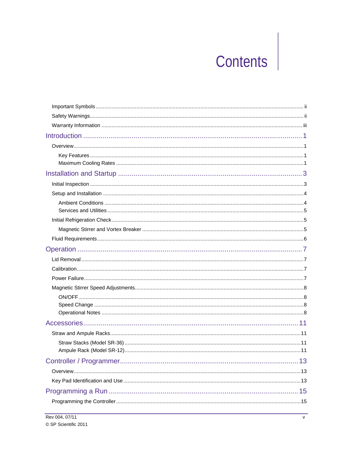# **Contents**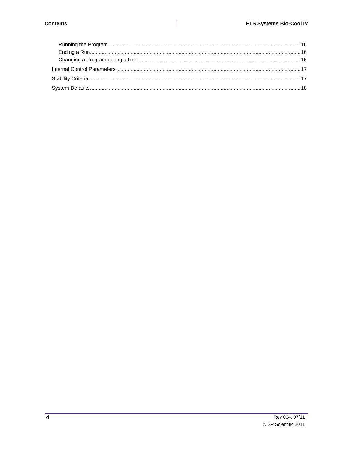$\mathbb{I}$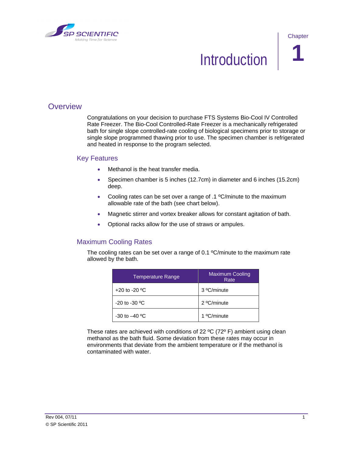<span id="page-8-0"></span>

**Chapter** 

### **Introduction**

#### <span id="page-8-1"></span>**Overview**

Congratulations on your decision to purchase FTS Systems Bio-Cool IV Controlled Rate Freezer. The Bio-Cool Controlled-Rate Freezer is a mechanically refrigerated bath for single slope controlled-rate cooling of biological specimens prior to storage or single slope programmed thawing prior to use. The specimen chamber is refrigerated and heated in response to the program selected.

#### <span id="page-8-2"></span>Key Features

- Methanol is the heat transfer media.
- Specimen chamber is 5 inches (12.7cm) in diameter and 6 inches (15.2cm) deep.
- Cooling rates can be set over a range of .1 ºC/minute to the maximum allowable rate of the bath (see chart below).
- Magnetic stirrer and vortex breaker allows for constant agitation of bath.
- Optional racks allow for the use of straws or ampules.

#### <span id="page-8-3"></span>Maximum Cooling Rates

The cooling rates can be set over a range of 0.1 °C/minute to the maximum rate allowed by the bath.

| <b>Temperature Range</b>        | <b>Maximum Cooling</b><br>Rate |
|---------------------------------|--------------------------------|
| +20 to -20 $\mathrm{^{\circ}C}$ | 3 °C/minute                    |
| $-20$ to $-30$ <sup>o</sup> C   | 2 °C/minute                    |
| $-30$ to $-40$ °C               | 1 °C/minute                    |

These rates are achieved with conditions of 22 ºC (72º F) ambient using clean methanol as the bath fluid. Some deviation from these rates may occur in environments that deviate from the ambient temperature or if the methanol is contaminated with water.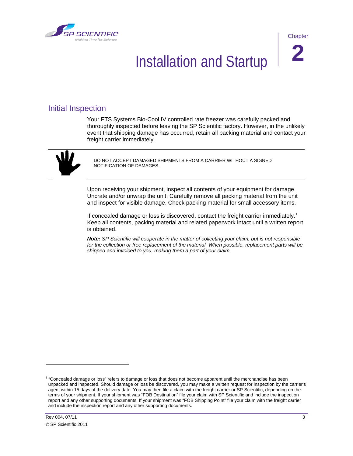<span id="page-10-0"></span>



### **Installation and Startup**

#### <span id="page-10-1"></span>Initial Inspection

Your FTS Systems Bio-Cool IV controlled rate freezer was carefully packed and thoroughly inspected before leaving the SP Scientific factory. However, in the unlikely event that shipping damage has occurred, retain all packing material and contact your freight carrier immediately.



DO NOT ACCEPT DAMAGED SHIPMENTS FROM A CARRIER WITHOUT A SIGNED NOTIFICATION OF DAMAGES.

Upon receiving your shipment, inspect all contents of your equipment for damage. Uncrate and/or unwrap the unit. Carefully remove all packing material from the unit and inspect for visible damage. Check packing material for small accessory items.

If concealed damage or loss is discovered, contact the freight carrier immediately.<sup>[1](#page-10-2)</sup> Keep all contents, packing material and related paperwork intact until a written report is obtained.

*Note: SP Scientific will cooperate in the matter of collecting your claim, but is not responsible for the collection or free replacement of the material. When possible, replacement parts will be shipped and invoiced to you, making them a part of your claim.*

 $\overline{a}$ 

<span id="page-10-2"></span> $1$  "Concealed damage or loss" refers to damage or loss that does not become apparent until the merchandise has been unpacked and inspected. Should damage or loss be discovered, you may make a written request for inspection by the carrier's agent within 15 days of the delivery date. You may then file a claim with the freight carrier or SP Scientific, depending on the terms of your shipment. If your shipment was "FOB Destination" file your claim with SP Scientific and include the inspection report and any other supporting documents. If your shipment was "FOB Shipping Point" file your claim with the freight carrier and include the inspection report and any other supporting documents.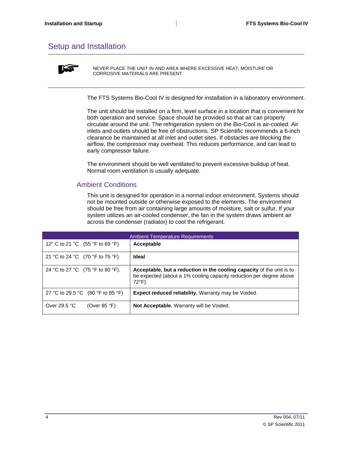#### <span id="page-11-0"></span>Setup and Installation



NEVER PLACE THE UNIT IN AND AREA WHERE EXCESSIVE HEAT, MOISTURE OR CORROSIVE MATERIALS ARE PRESENT.

The FTS Systems Bio-Cool IV is designed for installation in a laboratory environment.

The unit should be installed on a firm, level surface in a location that is convenient for both operation and service. Space should be provided so that air can properly circulate around the unit. The refrigeration system on the Bio-Cool is air-cooled. Air inlets and outlets should be free of obstructions. SP Scientific recommends a 6-inch clearance be maintained at all inlet and outlet sites. If obstacles are blocking the airflow, the compressor may overheat. This reduces performance, and can lead to early compressor failure.

The environment should be well ventilated to prevent excessive buildup of heat. Normal room ventilation is usually adequate.

#### <span id="page-11-1"></span>Ambient Conditions

This unit is designed for operation in a normal indoor environment. Systems should not be mounted outside or otherwise exposed to the elements. The environment should be free from air containing large amounts of moisture, salt or sulfur. If your system utilizes an air-cooled condenser, the fan in the system draws ambient air across the condenser (radiator) to cool the refrigerant.

| <b>Ambient Temperature Requirements</b> |                                                                                                                                                                  |  |
|-----------------------------------------|------------------------------------------------------------------------------------------------------------------------------------------------------------------|--|
| 12° C to 21 °C (55 °F to 69 °F)         | Acceptable                                                                                                                                                       |  |
| 21 °C to 24 °C (70 °F to 75 °F)         | <b>Ideal</b>                                                                                                                                                     |  |
| 24 °C to 27 °C (75 °F to 80 °F).        | Acceptable, but a reduction in the cooling capacity of the unit is to<br>be expected (about a 1% cooling capacity reduction per degree above<br>$72^{\circ}$ F). |  |
| 27 °C to 29.5 °C (80 °F to 85 °F)       | <b>Expect reduced reliability.</b> Warranty may be Voided.                                                                                                       |  |
| Over 29.5 $°C$<br>(Over 85 $\degree$ F) | <b>Not Acceptable.</b> Warranty will be Voided.                                                                                                                  |  |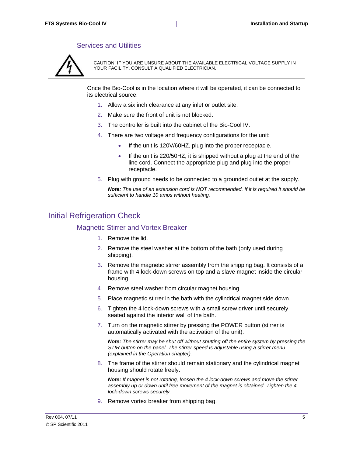#### Services and Utilities

<span id="page-12-0"></span>

CAUTION! IF YOU ARE UNSURE ABOUT THE AVAILABLE ELECTRICAL VOLTAGE SUPPLY IN YOUR FACILITY, CONSULT A QUALIFIED ELECTRICIAN.

Once the Bio-Cool is in the location where it will be operated, it can be connected to its electrical source.

- 1. Allow a six inch clearance at any inlet or outlet site.
- 2. Make sure the front of unit is not blocked.
- 3. The controller is built into the cabinet of the Bio-Cool IV.
- 4. There are two voltage and frequency configurations for the unit:
	- If the unit is 120V/60HZ, plug into the proper receptacle.
	- If the unit is 220/50HZ, it is shipped without a plug at the end of the line cord. Connect the appropriate plug and plug into the proper receptacle.
- 5. Plug with ground needs to be connected to a grounded outlet at the supply.

*Note: The use of an extension cord is NOT recommended. If it is required it should be sufficient to handle 10 amps without heating.*

#### <span id="page-12-2"></span><span id="page-12-1"></span>Initial Refrigeration Check

#### Magnetic Stirrer and Vortex Breaker

- 1. Remove the lid.
- 2. Remove the steel washer at the bottom of the bath (only used during shipping).
- 3. Remove the magnetic stirrer assembly from the shipping bag. It consists of a frame with 4 lock-down screws on top and a slave magnet inside the circular housing.
- 4. Remove steel washer from circular magnet housing.
- 5. Place magnetic stirrer in the bath with the cylindrical magnet side down.
- 6. Tighten the 4 lock-down screws with a small screw driver until securely seated against the interior wall of the bath.
- 7. Turn on the magnetic stirrer by pressing the POWER button (stirrer is automatically activated with the activation of the unit).

*Note: The stirrer may be shut off without shutting off the entire system by pressing the STIR button on the panel. The stirrer speed is adjustable using a stirrer menu (explained in the Operation chapter).*

8. The frame of the stirrer should remain stationary and the cylindrical magnet housing should rotate freely.

*Note: If magnet is not rotating, loosen the 4 lock-down screws and move the stirrer assembly up or down until free movement of the magnet is obtained. Tighten the 4 lock-down screws securely.*

9. Remove vortex breaker from shipping bag.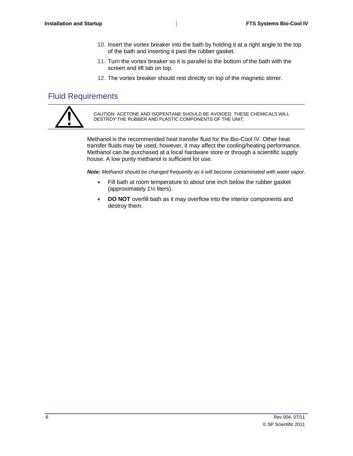- 10. Insert the vortex breaker into the bath by holding it at a right angle to the top of the bath and inserting it past the rubber gasket.
- 11. Turn the vortex breaker so it is parallel to the bottom of the bath with the screen and lift tab on top.
- 12. The vortex breaker should rest directly on top of the magnetic stirrer.

#### <span id="page-13-0"></span>Fluid Requirements



CAUTION: ACETONE AND ISOPENTANE SHOULD BE AVOIDED. THESE CHEMICALS WILL DESTROY THE RUBBER AND PLASTIC COMPONENTS OF THE UNIT.

Methanol is the recommended heat transfer fluid for the Bio-Cool IV. Other heat transfer fluids may be used, however, it may affect the cooling/heating performance. Methanol can be purchased at a local hardware store or through a scientific supply house. A low purity methanol is sufficient for use.

*Note: Methanol should be changed frequently as it will become contaminated with water vapor.*

- Fill bath at room temperature to about one inch below the rubber gasket (approximately 1½ liters).
- **DO NOT** overfill bath as it may overflow into the interior components and destroy them.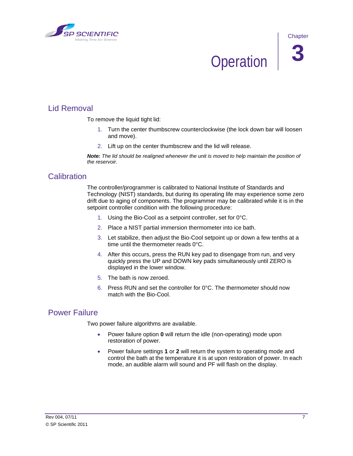<span id="page-14-0"></span>

### **Operation**

#### <span id="page-14-1"></span>Lid Removal

To remove the liquid tight lid:

- 1. Turn the center thumbscrew counterclockwise (the lock down bar will loosen and move).
- 2. Lift up on the center thumbscrew and the lid will release.

*Note: The lid should be realigned whenever the unit is moved to help maintain the position of the reservoir.*

#### <span id="page-14-2"></span>**Calibration**

The controller/programmer is calibrated to National Institute of Standards and Technology (NIST) standards, but during its operating life may experience some zero drift due to aging of components. The programmer may be calibrated while it is in the setpoint controller condition with the following procedure:

- 1. Using the Bio-Cool as a setpoint controller, set for 0°C.
- 2. Place a NIST partial immersion thermometer into ice bath.
- 3. Let stabilize, then adjust the Bio-Cool setpoint up or down a few tenths at a time until the thermometer reads 0°C.
- 4. After this occurs, press the RUN key pad to disengage from run, and very quickly press the UP and DOWN key pads simultaneously until ZERO is displayed in the lower window.
- 5. The bath is now zeroed.
- 6. Press RUN and set the controller for  $0^{\circ}$ C. The thermometer should now match with the Bio-Cool.

#### <span id="page-14-3"></span>Power Failure

Two power failure algorithms are available.

- Power failure option **0** will return the idle (non-operating) mode upon restoration of power.
- Power failure settings **1** or **2** will return the system to operating mode and control the bath at the temperature it is at upon restoration of power. In each mode, an audible alarm will sound and PF will flash on the display.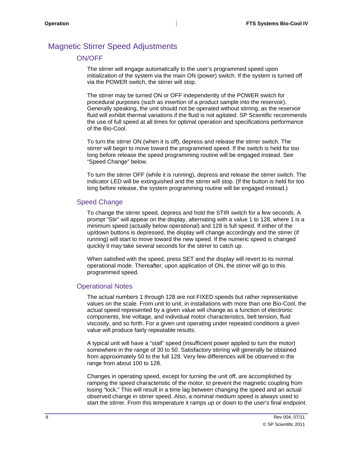#### <span id="page-15-1"></span><span id="page-15-0"></span>Magnetic Stirrer Speed Adjustments

#### ON/OFF

The stirrer will engage automatically to the user's programmed speed upon initialization of the system via the main ON (power) switch. If the system is turned off via the POWER switch, the stirrer will stop.

The stirrer may be turned ON or OFF independently of the POWER switch for procedural purposes (such as insertion of a product sample into the reservoir). Generally speaking, the unit should not be operated without stirring, as the reservoir fluid will exhibit thermal variations if the fluid is not agitated. SP Scientific recommends the use of full speed at all times for optimal operation and specifications performance of the Bio-Cool.

To turn the stirrer ON (when it is off), depress and release the stirrer switch. The stirrer will begin to move toward the programmed speed. If the switch is held for too long before release the speed programming routine will be engaged instead. See "Speed Change" below.

To turn the stirrer OFF (while it is running), depress and release the stirrer switch. The indicator LED will be extinguished and the stirrer will stop. (If the button is held for too long before release, the system programming routine will be engaged instead.)

#### <span id="page-15-2"></span>Speed Change

To change the stirrer speed, depress and hold the STIR switch for a few seconds. A prompt "Stir" will appear on the display, alternating with a value 1 to 128, where 1 is a minimum speed (actually below operational) and 128 is full speed. If either of the up/down buttons is depressed, the display will change accordingly and the stirrer (if running) will start to move toward the new speed. If the numeric speed is changed quickly it may take several seconds for the stirrer to catch up.

When satisfied with the speed, press SET and the display will revert to its normal operational mode. Thereafter, upon application of ON, the stirrer will go to this programmed speed.

#### <span id="page-15-3"></span>Operational Notes

The actual numbers 1 through 128 are not FIXED speeds but rather representative values on the scale. From unit to unit, in installations with more than one Bio-Cool, the actual speed represented by a given value will change as a function of electronic components, line voltage, and individual motor characteristics, belt tension, fluid viscosity, and so forth. For a given unit operating under repeated conditions a given value will produce fairly repeatable results.

A typical unit will have a "stall" speed (insufficient power applied to turn the motor) somewhere in the range of 30 to 50. Satisfactory stirring will generally be obtained from approximately 50 to the full 128. Very few differences will be observed in the range from about 100 to 128.

Changes in operating speed, except for turning the unit off, are accomplished by ramping the speed characteristic of the motor, to prevent the magnetic coupling from losing "lock." This will result in a time lag between changing the speed and an actual observed change in stirrer speed. Also, a nominal medium speed is always used to start the stirrer. From this temperature it ramps up or down to the user's final endpoint.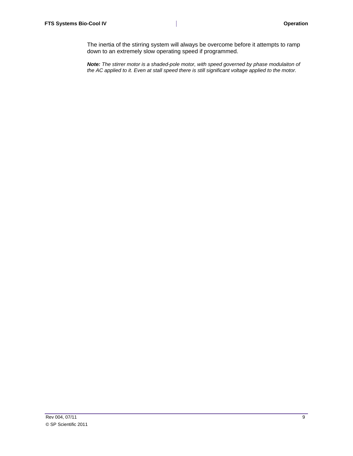The inertia of the stirring system will always be overcome before it attempts to ramp down to an extremely slow operating speed if programmed.

*Note: The stirrer motor is a shaded-pole motor, with speed governed by phase modulaiton of the AC applied to it. Even at stall speed there is still significant voltage applied to the motor.*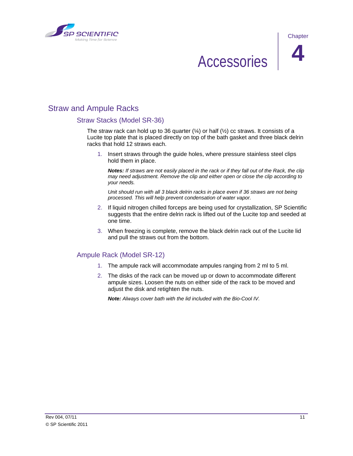<span id="page-18-0"></span>



### Accessories **4**

#### <span id="page-18-2"></span><span id="page-18-1"></span>Straw and Ampule Racks

#### Straw Stacks (Model SR-36)

The straw rack can hold up to 36 quarter  $(½)$  or half  $(½)$  cc straws. It consists of a Lucite top plate that is placed directly on top of the bath gasket and three black delrin racks that hold 12 straws each.

1. Insert straws through the guide holes, where pressure stainless steel clips hold them in place.

*Notes: If straws are not easily placed in the rack or if they fall out of the Rack, the clip may need adjustment. Remove the clip and either open or close the clip according to your needs.*

*Unit should run with all 3 black delrin racks in place even if 36 straws are not being processed. This will help prevent condensation of water vapor.*

- 2. If liquid nitrogen chilled forceps are being used for crystallization, SP Scientific suggests that the entire delrin rack is lifted out of the Lucite top and seeded at one time.
- 3. When freezing is complete, remove the black delrin rack out of the Lucite lid and pull the straws out from the bottom.

#### <span id="page-18-3"></span>Ampule Rack (Model SR-12)

- 1. The ampule rack will accommodate ampules ranging from 2 ml to 5 ml.
- 2. The disks of the rack can be moved up or down to accommodate different ampule sizes. Loosen the nuts on either side of the rack to be moved and adjust the disk and retighten the nuts.

*Note: Always cover bath with the lid included with the Bio-Cool IV.*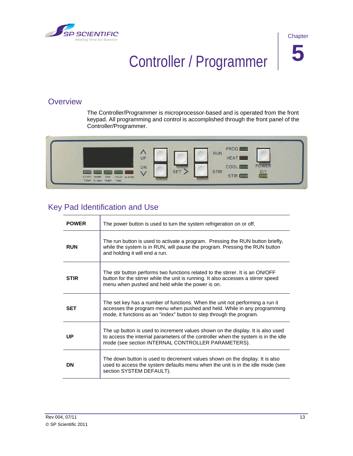<span id="page-20-0"></span>



## Controller / Programmer **5**

#### <span id="page-20-1"></span>**Overview**

The Controller/Programmer is microprocessor-based and is operated from the front keypad. All programming and control is accomplished through the front panel of the Controller/Programmer.



#### <span id="page-20-2"></span>Key Pad Identification and Use

| <b>POWER</b> | The power button is used to turn the system refrigeration on or off.                                                                                                                                                             |
|--------------|----------------------------------------------------------------------------------------------------------------------------------------------------------------------------------------------------------------------------------|
| <b>RUN</b>   | The run button is used to activate a program. Pressing the RUN button briefly,<br>while the system is in RUN, will pause the program. Pressing the RUN button<br>and holding it will end a run.                                  |
| <b>STIR</b>  | The stir button performs two functions related to the stirrer. It is an ON/OFF<br>button for the stirrer while the unit is running. It also accesses a stirrer speed<br>menu when pushed and held while the power is on.         |
| <b>SET</b>   | The set key has a number of functions. When the unit not performing a run it<br>accesses the program menu when pushed and held. While in any programming<br>mode, it functions as an "index" button to step through the program. |
| UP           | The up button is used to increment values shown on the display. It is also used<br>to access the internal parameters of the controller when the system is in the idle<br>mode (see section INTERNAL CONTROLLER PARAMETERS).      |
| DN           | The down button is used to decrement values shown on the display. It is also<br>used to access the system defaults menu when the unit is in the idle mode (see<br>section SYSTEM DEFAULT).                                       |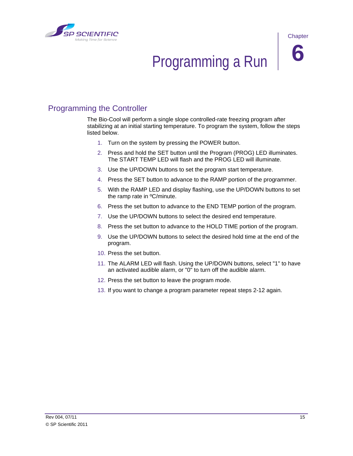

<span id="page-22-0"></span>

### Programming a Run **6**

#### <span id="page-22-1"></span>Programming the Controller

The Bio-Cool will perform a single slope controlled-rate freezing program after stabilizing at an initial starting temperature. To program the system, follow the steps listed below.

- 1. Turn on the system by pressing the POWER button.
- 2. Press and hold the SET button until the Program (PROG) LED illuminates. The START TEMP LED will flash and the PROG LED will illuminate.
- 3. Use the UP/DOWN buttons to set the program start temperature.
- 4. Press the SET button to advance to the RAMP portion of the programmer.
- 5. With the RAMP LED and display flashing, use the UP/DOWN buttons to set the ramp rate in ºC/minute.
- 6. Press the set button to advance to the END TEMP portion of the program.
- 7. Use the UP/DOWN buttons to select the desired end temperature.
- 8. Press the set button to advance to the HOLD TIME portion of the program.
- 9. Use the UP/DOWN buttons to select the desired hold time at the end of the program.
- 10. Press the set button.
- 11. The ALARM LED will flash. Using the UP/DOWN buttons, select "1" to have an activated audible alarm, or "0" to turn off the audible alarm.
- 12. Press the set button to leave the program mode.
- 13. If you want to change a program parameter repeat steps 2-12 again.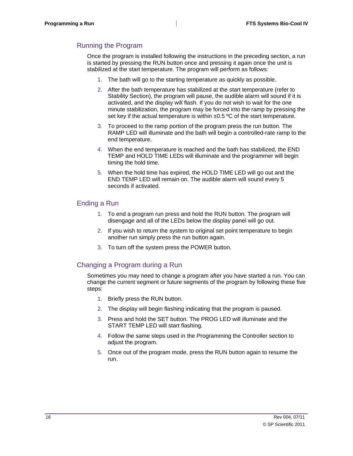#### <span id="page-23-0"></span>Running the Program

Once the program is installed following the instructions in the preceding section, a run is started by pressing the RUN button once and pressing it again once the unit is stabilized at the start temperature. The program will perform as follows:

- 1. The bath will go to the starting temperature as quickly as possible.
- 2. After the bath temperature has stabilized at the start temperature (refer to Stability Section), the program will pause, the audible alarm will sound if it is activated, and the display will flash. If you do not wish to wait for the one minute stabilization, the program may be forced into the ramp by pressing the set key if the actual temperature is within  $\pm 0.5$  °C of the start temperature.
- 3. To proceed to the ramp portion of the program press the run button. The RAMP LED will illuminate and the bath will begin a controlled-rate ramp to the end temperature.
- 4. When the end temperature is reached and the bath has stabilized, the END TEMP and HOLD TIME LEDs will illuminate and the programmer will begin timing the hold time.
- 5. When the hold time has expired, the HOLD TIME LED will go out and the END TEMP LED will remain on. The audible alarm will sound every 5 seconds if activated.

#### <span id="page-23-1"></span>Ending a Run

- 1. To end a program run press and hold the RUN button. The program will disengage and all of the LEDs below the display panel will go out.
- 2. If you wish to return the system to original set point temperature to begin another run simply press the run button again.
- 3. To turn off the system press the POWER button.

#### <span id="page-23-2"></span>Changing a Program during a Run

Sometimes you may need to change a program after you have started a run. You can change the current segment or future segments of the program by following these five steps:

- 1. Briefly press the RUN button.
- 2. The display will begin flashing indicating that the program is paused.
- 3. Press and hold the SET button. The PROG LED will illuminate and the START TEMP LED will start flashing.
- 4. Follow the same steps used in the Programming the Controller section to adjust the program.
- 5. Once out of the program mode, press the RUN button again to resume the run.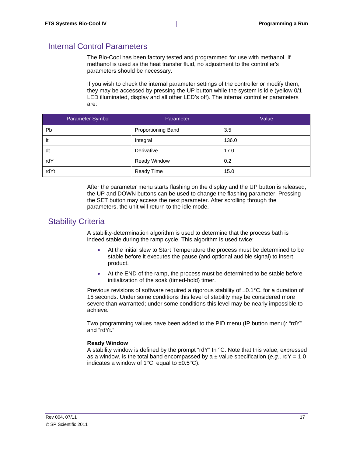#### <span id="page-24-0"></span>Internal Control Parameters

The Bio-Cool has been factory tested and programmed for use with methanol. If methanol is used as the heat transfer fluid, no adjustment to the controller's parameters should be necessary.

If you wish to check the internal parameter settings of the controller or modify them, they may be accessed by pressing the UP button while the system is idle (yellow 0/1 LED illuminated, display and all other LED's off). The internal controller parameters are:

| Parameter Symbol | Parameter                 | Value |
|------------------|---------------------------|-------|
| Pb               | <b>Proportioning Band</b> | 3.5   |
| It               | Integral                  | 136.0 |
| dt               | Derivative                | 17.0  |
| rdY              | <b>Ready Window</b>       | 0.2   |
| rdYt             | <b>Ready Time</b>         | 15.0  |

After the parameter menu starts flashing on the display and the UP button is released, the UP and DOWN buttons can be used to change the flashing parameter. Pressing the SET button may access the next parameter. After scrolling through the parameters, the unit will return to the idle mode.

#### <span id="page-24-1"></span>Stability Criteria

A stability-determination algorithm is used to determine that the process bath is indeed stable during the ramp cycle. This algorithm is used twice:

- At the initial slew to Start Temperature the process must be determined to be stable before it executes the pause (and optional audible signal) to insert product.
- At the END of the ramp, the process must be determined to be stable before initialization of the soak (timed-hold) timer.

Previous revisions of software required a rigorous stability of  $\pm 0.1^{\circ}$ C. for a duration of 15 seconds. Under some conditions this level of stability may be considered more severe than warranted; under some conditions this level may be nearly impossible to achieve.

Two programming values have been added to the PID menu (IP button menu): "rdY" and "rdYt."

#### **Ready Window**

A stability window is defined by the prompt "rdY" In °C. Note that this value, expressed as a window, is the total band encompassed by a  $\pm$  value specification (*e.g.*, rdY = 1.0 indicates a window of  $1^{\circ}$ C, equal to  $\pm 0.5^{\circ}$ C).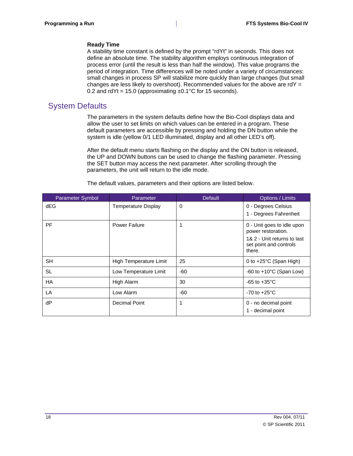#### **Ready Time**

A stability time constant is defined by the prompt "rdYt" in seconds. This does not define an absolute time. The stability algorithm employs continuous integration of process error (until the result is less than half the window). This value programs the period of integration. Time differences will be noted under a variety of circumstances: small changes in process SP will stabilize more quickly than large changes (but small changes are less likely to overshoot). Recommended values for the above are rdY = 0.2 and rdYt = 15.0 (approximating  $\pm$ 0.1°C for 15 seconds).

#### <span id="page-25-0"></span>System Defaults

The parameters in the system defaults define how the Bio-Cool displays data and allow the user to set limits on which values can be entered in a program. These default parameters are accessible by pressing and holding the DN button while the system is idle (yellow 0/1 LED illuminated, display and all other LED's off).

After the default menu starts flashing on the display and the ON button is released, the UP and DOWN buttons can be used to change the flashing parameter. Pressing the SET button may access the next parameter. After scrolling through the parameters, the unit will return to the idle mode.

| Parameter Symbol | Parameter                  | <b>Default</b> | Options / Limits                                                |
|------------------|----------------------------|----------------|-----------------------------------------------------------------|
| dEG              | <b>Temperature Display</b> | 0              | 0 - Degrees Celsius                                             |
|                  |                            |                | 1 - Degrees Fahrenheit                                          |
| PF               | <b>Power Failure</b>       | 1              | 0 - Unit goes to idle upon<br>power restoration.                |
|                  |                            |                | 1& 2 - Unit returns to last<br>set point and controls<br>there. |
| <b>SH</b>        | High Temperature Limit     | 25             | 0 to $+25^{\circ}$ C (Span High)                                |
| <b>SL</b>        | Low Temperature Limit      | -60            | -60 to $+10^{\circ}$ C (Span Low)                               |
| <b>HA</b>        | High Alarm                 | 30             | $-65$ to $+35^{\circ}$ C                                        |
| LA               | Low Alarm                  | -60            | $-70$ to $+25^{\circ}$ C                                        |
| dP               | <b>Decimal Point</b>       | 1              | 0 - no decimal point                                            |
|                  |                            |                | 1 - decimal point                                               |

The default values, parameters and their options are listed below.